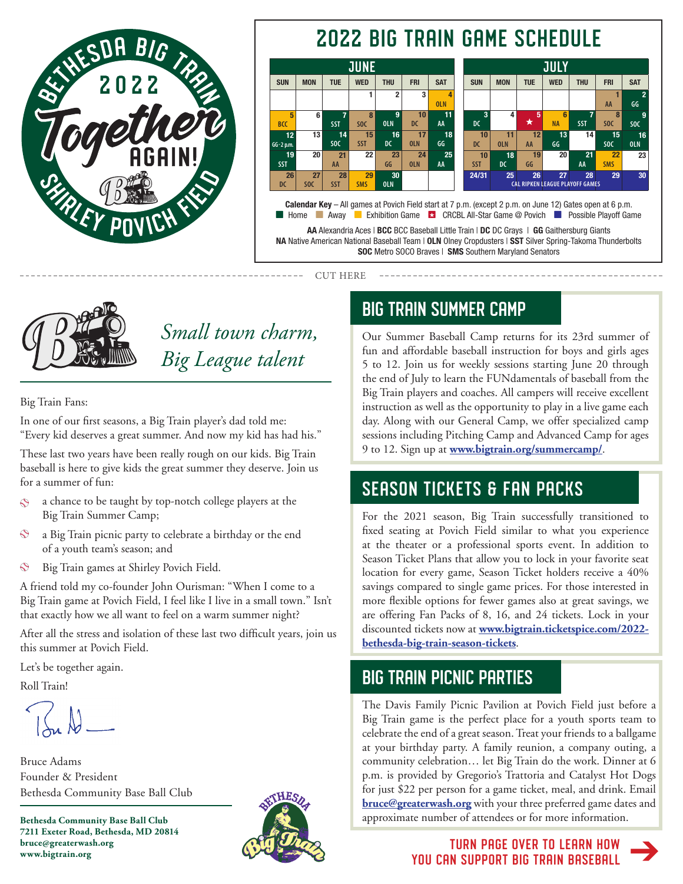

# 2022 BIG TRAIN GAME SCHEDULE



AA Alexandria Aces | BCC BCC Baseball Little Train | DC DC Grays | GG Gaithersburg Giants NA Native American National Baseball Team | OLN Olney Cropdusters | SST Silver Spring-Takoma Thunderbolts

SOC Metro SOCO Braves | SMS Southern Maryland Senators

CUT HERE



*Small town charm, Big League talent*

Big Train Fans:

In one of our first seasons, a Big Train player's dad told me: "Every kid deserves a great summer. And now my kid has had his."

These last two years have been really rough on our kids. Big Train baseball is here to give kids the great summer they deserve. Join us for a summer of fun:

- a chance to be taught by top-notch college players at the  $\bullet$ Big Train Summer Camp;
- $\bullet$ a Big Train picnic party to celebrate a birthday or the end of a youth team's season; and
- $\bullet$ Big Train games at Shirley Povich Field.

A friend told my co-founder John Ourisman: "When I come to a Big Train game at Povich Field, I feel like I live in a small town." Isn't that exactly how we all want to feel on a warm summer night?

After all the stress and isolation of these last two difficult years, join us this summer at Povich Field.

Let's be together again.

Roll Train!

Bruce Adams Founder & President Bethesda Community Base Ball Club

**Bethesda Community Base Ball Club 7211 Exeter Road, Bethesda, MD 20814 bruce@greaterwash.org www.bigtrain.org** 



# BIG TRAIN SUMMER CAMP

Our Summer Baseball Camp returns for its 23rd summer of fun and affordable baseball instruction for boys and girls ages 5 to 12. Join us for weekly sessions starting June 20 through the end of July to learn the FUNdamentals of baseball from the Big Train players and coaches. All campers will receive excellent instruction as well as the opportunity to play in a live game each day. Along with our General Camp, we offer specialized camp sessions including Pitching Camp and Advanced Camp for ages 9 to 12. Sign up at **www.bigtrain.org/summercamp/**.

# SEASON TICKETS & FAN PACKS

For the 2021 season, Big Train successfully transitioned to fixed seating at Povich Field similar to what you experience at the theater or a professional sports event. In addition to Season Ticket Plans that allow you to lock in your favorite seat location for every game, Season Ticket holders receive a 40% savings compared to single game prices. For those interested in more flexible options for fewer games also at great savings, we are offering Fan Packs of 8, 16, and 24 tickets. Lock in your discounted tickets now at **[www.bigtrain.ticketspice.com/2022](https://bigtrain.ticketspice.com/2022-bethesda-big-train-season-tickets) [bethesda-big-train-season-tickets](https://bigtrain.ticketspice.com/2022-bethesda-big-train-season-tickets)**.

## BIG TRAIN PICNIC PARTIES

The Davis Family Picnic Pavilion at Povich Field just before a Big Train game is the perfect place for a youth sports team to celebrate the end of a great season. Treat your friends to a ballgame at your birthday party. A family reunion, a company outing, a community celebration… let Big Train do the work. Dinner at 6 p.m. is provided by Gregorio's Trattoria and Catalyst Hot Dogs for just \$22 per person for a game ticket, meal, and drink. Email **[bruce@greaterwash.org](mailto:bruce@greaterwash.org)** with your three preferred game dates and approximate number of attendees or for more information.

> TURN PAGE OVER TO LEARN HOW YOU CAN SUPPORT BIG TRAIN BASEBALL  $\rightarrow$